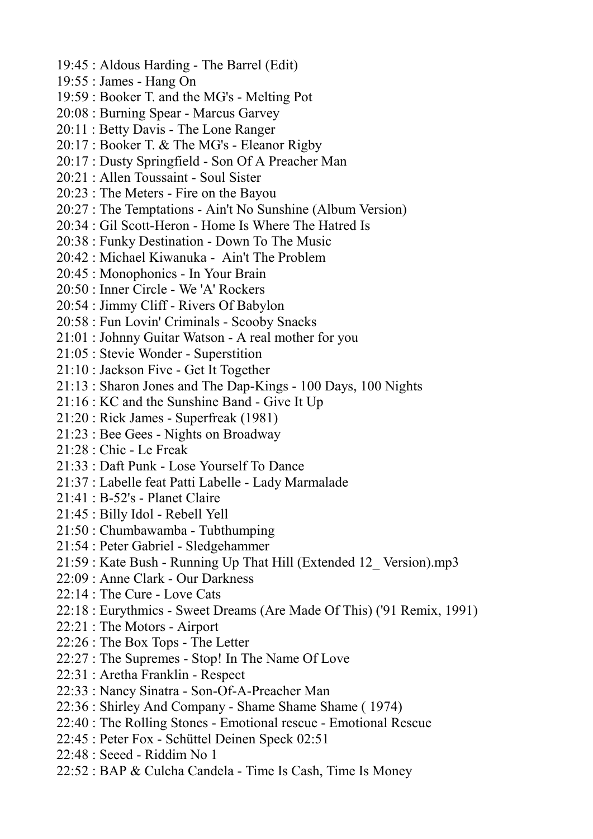- 19:45 : Aldous Harding The Barrel (Edit)
- 19:55 : James Hang On
- 19:59 : Booker T. and the MG's Melting Pot
- 20:08 : Burning Spear Marcus Garvey
- 20:11 : Betty Davis The Lone Ranger
- 20:17 : Booker T. & The MG's Eleanor Rigby
- 20:17 : Dusty Springfield Son Of A Preacher Man
- 20:21 : Allen Toussaint Soul Sister
- 20:23 : The Meters Fire on the Bayou
- 20:27 : The Temptations Ain't No Sunshine (Album Version)
- 20:34 : Gil Scott-Heron Home Is Where The Hatred Is
- 20:38 : Funky Destination Down To The Music
- 20:42 : Michael Kiwanuka Ain't The Problem
- 20:45 : Monophonics In Your Brain
- 20:50 : Inner Circle We 'A' Rockers
- 20:54 : Jimmy Cliff Rivers Of Babylon
- 20:58 : Fun Lovin' Criminals Scooby Snacks
- 21:01 : Johnny Guitar Watson A real mother for you
- 21:05 : Stevie Wonder Superstition
- 21:10 : Jackson Five Get It Together
- 21:13 : Sharon Jones and The Dap-Kings 100 Days, 100 Nights
- 21:16 : KC and the Sunshine Band Give It Up
- 21:20 : Rick James Superfreak (1981)
- 21:23 : Bee Gees Nights on Broadway
- 21:28 : Chic Le Freak
- 21:33 : Daft Punk Lose Yourself To Dance
- 21:37 : Labelle feat Patti Labelle Lady Marmalade
- 21:41 : B-52's Planet Claire
- 21:45 : Billy Idol Rebell Yell
- 21:50 : Chumbawamba Tubthumping
- 21:54 : Peter Gabriel Sledgehammer
- 21:59 : Kate Bush Running Up That Hill (Extended 12\_ Version).mp3
- 22:09 : Anne Clark Our Darkness
- 22:14 : The Cure Love Cats
- 22:18 : Eurythmics Sweet Dreams (Are Made Of This) ('91 Remix, 1991)
- 22:21 : The Motors Airport
- 22:26 : The Box Tops The Letter
- 22:27 : The Supremes Stop! In The Name Of Love
- 22:31 : Aretha Franklin Respect
- 22:33 : Nancy Sinatra Son-Of-A-Preacher Man
- 22:36 : Shirley And Company Shame Shame Shame ( 1974)
- 22:40 : The Rolling Stones Emotional rescue Emotional Rescue
- 22:45 : Peter Fox Schüttel Deinen Speck 02:51
- 22:48 : Seeed Riddim No 1
- 22:52 : BAP & Culcha Candela Time Is Cash, Time Is Money